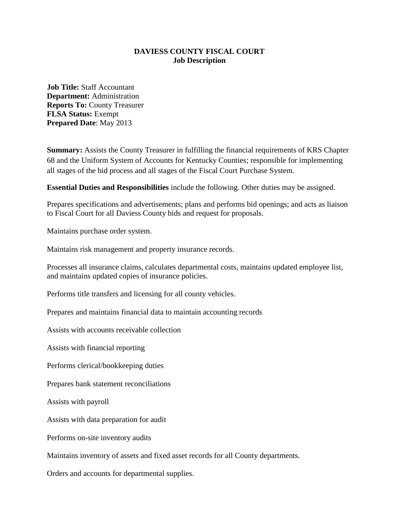## **DAVIESS COUNTY FISCAL COURT Job Description**

**Job Title:** Staff Accountant **Department:** Administration **Reports To:** County Treasurer **FLSA Status:** Exempt **Prepared Date**: May 2013

**Summary:** Assists the County Treasurer in fulfilling the financial requirements of KRS Chapter 68 and the Uniform System of Accounts for Kentucky Counties; responsible for implementing all stages of the bid process and all stages of the Fiscal Court Purchase System.

**Essential Duties and Responsibilities** include the following. Other duties may be assigned.

Prepares specifications and advertisements; plans and performs bid openings; and acts as liaison to Fiscal Court for all Daviess County bids and request for proposals.

Maintains purchase order system.

Maintains risk management and property insurance records.

Processes all insurance claims, calculates departmental costs, maintains updated employee list, and maintains updated copies of insurance policies.

Performs title transfers and licensing for all county vehicles.

Prepares and maintains financial data to maintain accounting records

Assists with accounts receivable collection

Assists with financial reporting

Performs clerical/bookkeeping duties

Prepares bank statement reconciliations

Assists with payroll

Assists with data preparation for audit

Performs on-site inventory audits

Maintains inventory of assets and fixed asset records for all County departments.

Orders and accounts for departmental supplies.